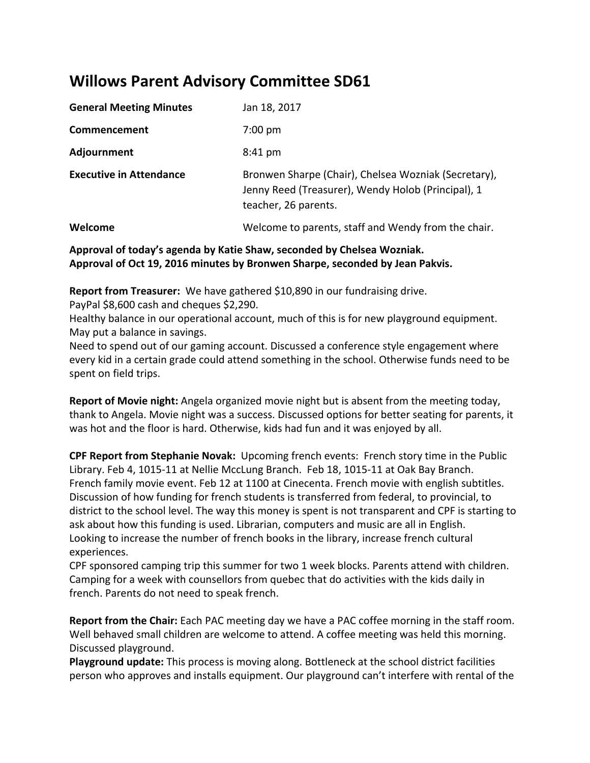# **Willows Parent Advisory Committee SD61**

| <b>General Meeting Minutes</b> | Jan 18, 2017                                                                                                                       |
|--------------------------------|------------------------------------------------------------------------------------------------------------------------------------|
| Commencement                   | $7:00 \text{ pm}$                                                                                                                  |
| Adjournment                    | $8:41 \text{ pm}$                                                                                                                  |
| <b>Executive in Attendance</b> | Bronwen Sharpe (Chair), Chelsea Wozniak (Secretary),<br>Jenny Reed (Treasurer), Wendy Holob (Principal), 1<br>teacher, 26 parents. |
| Welcome                        | Welcome to parents, staff and Wendy from the chair.                                                                                |

## **Approval of today's agenda by Katie Shaw, seconded by Chelsea Wozniak. Approval of Oct 19, 2016 minutes by Bronwen Sharpe, seconded by Jean Pakvis.**

**Report from Treasurer:** We have gathered \$10,890 in our fundraising drive.

PayPal \$8,600 cash and cheques \$2,290.

Healthy balance in our operational account, much of this is for new playground equipment. May put a balance in savings.

Need to spend out of our gaming account. Discussed a conference style engagement where every kid in a certain grade could attend something in the school. Otherwise funds need to be spent on field trips.

**Report of Movie night:** Angela organized movie night but is absent from the meeting today, thank to Angela. Movie night was a success. Discussed options for better seating for parents, it was hot and the floor is hard. Otherwise, kids had fun and it was enjoyed by all.

**CPF Report from Stephanie Novak:**  Upcoming french events: French story time in the Public Library. Feb 4, 1015-11 at Nellie MccLung Branch. Feb 18, 1015-11 at Oak Bay Branch. French family movie event. Feb 12 at 1100 at Cinecenta. French movie with english subtitles. Discussion of how funding for french students is transferred from federal, to provincial, to district to the school level. The way this money is spent is not transparent and CPF is starting to ask about how this funding is used. Librarian, computers and music are all in English. Looking to increase the number of french books in the library, increase french cultural experiences.

CPF sponsored camping trip this summer for two 1 week blocks. Parents attend with children. Camping for a week with counsellors from quebec that do activities with the kids daily in french. Parents do not need to speak french.

**Report from the Chair:** Each PAC meeting day we have a PAC coffee morning in the staff room. Well behaved small children are welcome to attend. A coffee meeting was held this morning. Discussed playground.

**Playground update:** This process is moving along. Bottleneck at the school district facilities person who approves and installs equipment. Our playground can't interfere with rental of the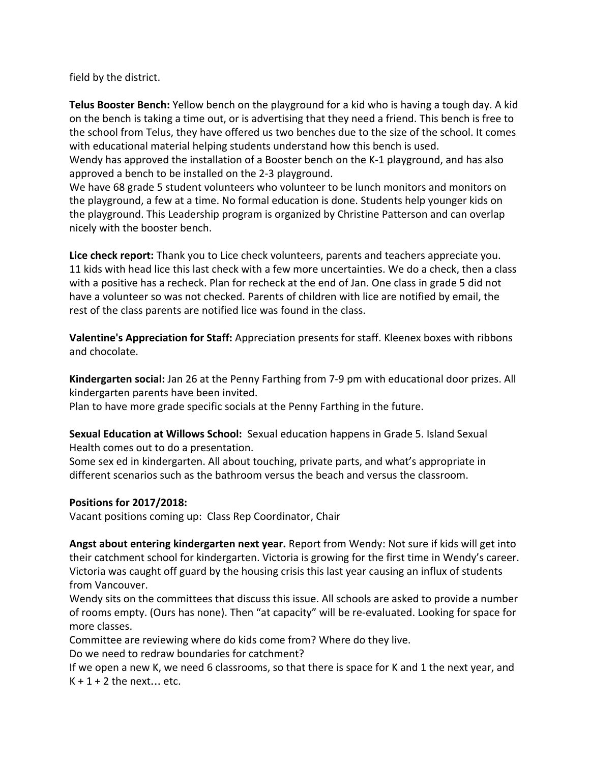field by the district.

**Telus Booster Bench:** Yellow bench on the playground for a kid who is having a tough day. A kid on the bench is taking a time out, or is advertising that they need a friend. This bench is free to the school from Telus, they have offered us two benches due to the size of the school. It comes with educational material helping students understand how this bench is used.

Wendy has approved the installation of a Booster bench on the K-1 playground, and has also approved a bench to be installed on the 2-3 playground.

We have 68 grade 5 student volunteers who volunteer to be lunch monitors and monitors on the playground, a few at a time. No formal education is done. Students help younger kids on the playground. This Leadership program is organized by Christine Patterson and can overlap nicely with the booster bench.

**Lice check report:** Thank you to Lice check volunteers, parents and teachers appreciate you. 11 kids with head lice this last check with a few more uncertainties. We do a check, then a class with a positive has a recheck. Plan for recheck at the end of Jan. One class in grade 5 did not have a volunteer so was not checked. Parents of children with lice are notified by email, the rest of the class parents are notified lice was found in the class.

**Valentine's Appreciation for Staff:** Appreciation presents for staff. Kleenex boxes with ribbons and chocolate.

**Kindergarten social:** Jan 26 at the Penny Farthing from 7-9 pm with educational door prizes. All kindergarten parents have been invited.

Plan to have more grade specific socials at the Penny Farthing in the future.

**Sexual Education at Willows School:** Sexual education happens in Grade 5. Island Sexual Health comes out to do a presentation.

Some sex ed in kindergarten. All about touching, private parts, and what's appropriate in different scenarios such as the bathroom versus the beach and versus the classroom.

#### **Positions for 2017/2018:**

Vacant positions coming up: Class Rep Coordinator, Chair

**Angst about entering kindergarten next year.** Report from Wendy: Not sure if kids will get into their catchment school for kindergarten. Victoria is growing for the first time in Wendy's career. Victoria was caught off guard by the housing crisis this last year causing an influx of students from Vancouver.

Wendy sits on the committees that discuss this issue. All schools are asked to provide a number of rooms empty. (Ours has none). Then "at capacity" will be re-evaluated. Looking for space for more classes.

Committee are reviewing where do kids come from? Where do they live.

Do we need to redraw boundaries for catchment?

If we open a new K, we need 6 classrooms, so that there is space for K and 1 the next year, and  $K + 1 + 2$  the next... etc.